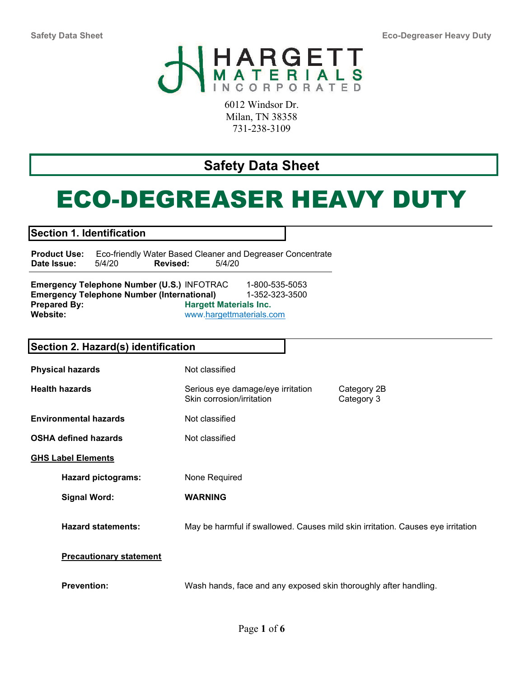Safety Data Sheet Eco-Degreaser Heavy Duty



6012 Windsor Dr. Milan, TN 38358 731-238-3109

# Safety Data Sheet

# ECO-DEGREASER HEAVY DUTY

Section 1. Identification

**Product Use:** Eco-friendly Water Based Cleaner and Degreaser Concentrate<br>Date Issue: 5/4/20 **Revised:** 5/4/20 Date Issue: 5/4/20 Revised: 5/4/20

Emergency Telephone Number (U.S.) INFOTRAC 1-800-535-5053 Emergency Telephone Number (International) 1-352-323-3500 Prepared By: Website: Hargett Materials Inc. www.hargettmaterials.com

| Section 2. Hazard(s) identification |                                                                                 |                           |  |
|-------------------------------------|---------------------------------------------------------------------------------|---------------------------|--|
| <b>Physical hazards</b>             | Not classified                                                                  |                           |  |
| <b>Health hazards</b>               | Serious eye damage/eye irritation<br>Skin corrosion/irritation                  | Category 2B<br>Category 3 |  |
| <b>Environmental hazards</b>        | Not classified                                                                  |                           |  |
| <b>OSHA defined hazards</b>         | Not classified                                                                  |                           |  |
| <b>GHS Label Elements</b>           |                                                                                 |                           |  |
| <b>Hazard pictograms:</b>           | None Required                                                                   |                           |  |
| <b>Signal Word:</b>                 | <b>WARNING</b>                                                                  |                           |  |
| <b>Hazard statements:</b>           | May be harmful if swallowed. Causes mild skin irritation. Causes eye irritation |                           |  |
| <b>Precautionary statement</b>      |                                                                                 |                           |  |
| <b>Prevention:</b>                  | Wash hands, face and any exposed skin thoroughly after handling.                |                           |  |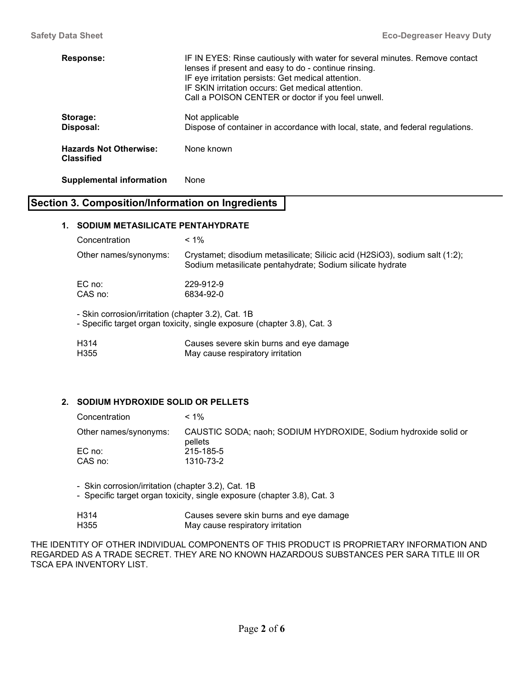| <b>Response:</b>                            | IF IN EYES: Rinse cautiously with water for several minutes. Remove contact<br>lenses if present and easy to do - continue rinsing.<br>IF eye irritation persists: Get medical attention.<br>IF SKIN irritation occurs: Get medical attention.<br>Call a POISON CENTER or doctor if you feel unwell. |
|---------------------------------------------|------------------------------------------------------------------------------------------------------------------------------------------------------------------------------------------------------------------------------------------------------------------------------------------------------|
| Storage:<br>Disposal:                       | Not applicable<br>Dispose of container in accordance with local, state, and federal regulations.                                                                                                                                                                                                     |
| <b>Hazards Not Otherwise:</b><br>Classified | None known                                                                                                                                                                                                                                                                                           |

#### Supplemental information None

# Section 3. Composition/Information on Ingredients

# 1. SODIUM METASILICATE PENTAHYDRATE

| Concentration                                      | $< 1\%$                                                                                                                                  |
|----------------------------------------------------|------------------------------------------------------------------------------------------------------------------------------------------|
| Other names/synonyms:                              | Crystamet; disodium metasilicate; Silicic acid (H2SiO3), sodium salt (1:2);<br>Sodium metasilicate pentahydrate; Sodium silicate hydrate |
| EC no:                                             | 229-912-9                                                                                                                                |
| CAS no:                                            | 6834-92-0                                                                                                                                |
| - Skin corrosion/irritation (chapter 3.2), Cat. 1B |                                                                                                                                          |

- Specific target organ toxicity, single exposure (chapter 3.8), Cat. 3

| H <sub>3</sub> 14 | Causes severe skin burns and eye damage |
|-------------------|-----------------------------------------|
| H <sub>355</sub>  | May cause respiratory irritation        |

# 2. SODIUM HYDROXIDE SOLID OR PELLETS

| Concentration         | $< 1\%$                                                                    |
|-----------------------|----------------------------------------------------------------------------|
| Other names/synonyms: | CAUSTIC SODA; naoh; SODIUM HYDROXIDE, Sodium hydroxide solid or<br>pellets |
| EC no:                | 215-185-5                                                                  |
| CAS no:               | 1310-73-2                                                                  |

- Skin corrosion/irritation (chapter 3.2), Cat. 1B

- Specific target organ toxicity, single exposure (chapter 3.8), Cat. 3

| H314 | Causes severe skin burns and eye damage |
|------|-----------------------------------------|
| H355 | May cause respiratory irritation        |

THE IDENTITY OF OTHER INDIVIDUAL COMPONENTS OF THIS PRODUCT IS PROPRIETARY INFORMATION AND REGARDED AS A TRADE SECRET. THEY ARE NO KNOWN HAZARDOUS SUBSTANCES PER SARA TITLE III OR TSCA EPA INVENTORY LIST.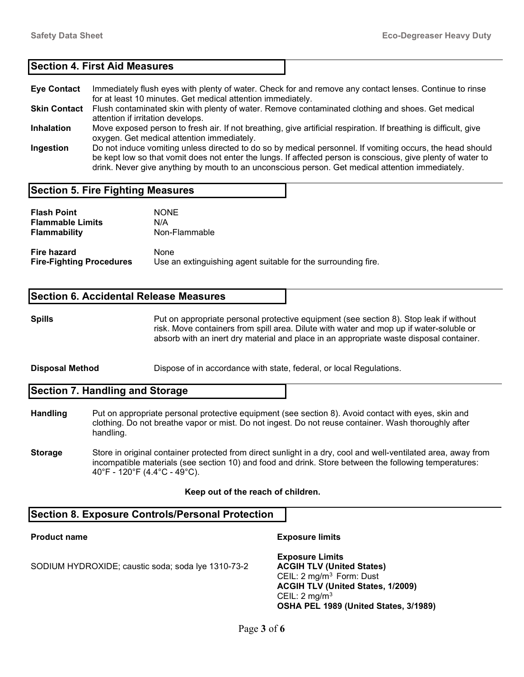# Section 4. First Aid Measures

- Eye Contact Immediately flush eyes with plenty of water. Check for and remove any contact lenses. Continue to rinse for at least 10 minutes. Get medical attention immediately. Skin Contact Flush contaminated skin with plenty of water. Remove contaminated clothing and shoes. Get medical
- attention if irritation develops.
- Inhalation Move exposed person to fresh air. If not breathing, give artificial respiration. If breathing is difficult, give oxygen. Get medical attention immediately.
- Ingestion Do not induce vomiting unless directed to do so by medical personnel. If vomiting occurs, the head should be kept low so that vomit does not enter the lungs. If affected person is conscious, give plenty of water to drink. Never give anything by mouth to an unconscious person. Get medical attention immediately.

# Section 5. Fire Fighting Measures

| <b>Flash Point</b>              | <b>NONE</b>                                                   |
|---------------------------------|---------------------------------------------------------------|
| <b>Flammable Limits</b>         | N/A                                                           |
| <b>Flammability</b>             | Non-Flammable                                                 |
| <b>Fire hazard</b>              | None                                                          |
| <b>Fire-Fighting Procedures</b> | Use an extinguishing agent suitable for the surrounding fire. |

# Section 6. Accidental Release Measures

Spills **Put on appropriate personal protective equipment (see section 8)**. Stop leak if without risk. Move containers from spill area. Dilute with water and mop up if water-soluble or absorb with an inert dry material and place in an appropriate waste disposal container.

**Disposal Method** Dispose of in accordance with state, federal, or local Regulations.

Section 7. Handling and Storage

- Handling Put on appropriate personal protective equipment (see section 8). Avoid contact with eyes, skin and clothing. Do not breathe vapor or mist. Do not ingest. Do not reuse container. Wash thoroughly after handling.
- **Storage** Store in original container protected from direct sunlight in a dry, cool and well-ventilated area, away from incompatible materials (see section 10) and food and drink. Store between the following temperatures: 40°F - 120°F (4.4°C - 49°C).

#### Keep out of the reach of children.

# Section 8. Exposure Controls/Personal Protection

Product name **Exposure limits Exposure limits** 

SODIUM HYDROXIDE; caustic soda; soda lye 1310-73-2 **ACGIH TLV (United States)** 

 Exposure Limits CEIL:  $2 \text{ mg/m}^3$  Form: Dust ACGIH TLV (United States, 1/2009) CEIL: 2 mg/m<sup>3</sup> OSHA PEL 1989 (United States, 3/1989)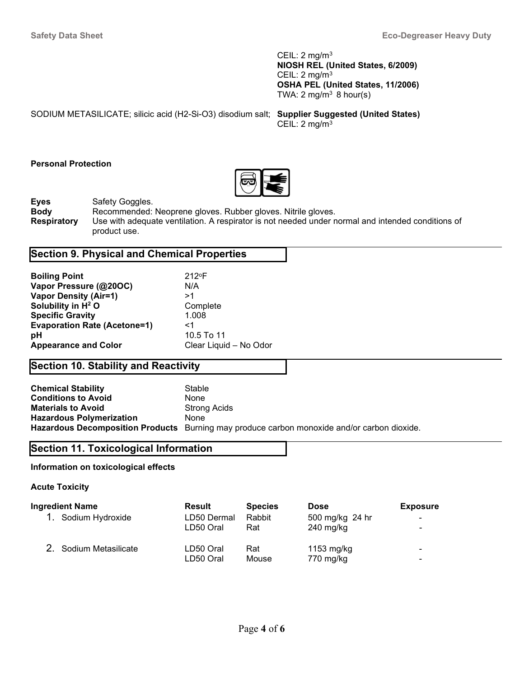CEIL: 2 mg/m<sup>3</sup> NIOSH REL (United States, 6/2009) CEIL: 2 mg/m<sup>3</sup> OSHA PEL (United States, 11/2006) TWA:  $2 \text{ mg/m}^3$  8 hour(s)

| SODIUM METASILICATE; silicic acid (H2-Si-O3) disodium salt; Supplier Suggested (United States) |                          |
|------------------------------------------------------------------------------------------------|--------------------------|
|                                                                                                | CEIL: $2 \text{ mg/m}^3$ |

### Personal Protection



**Eyes** Safety Goggles.

Body Recommended: Neoprene gloves. Rubber gloves. Nitrile gloves. Respiratory Use with adequate ventilation. A respirator is not needed under normal and intended conditions of product use.

# Section 9. Physical and Chemical Properties

| <b>Boiling Point</b>                | $212$ °F               |
|-------------------------------------|------------------------|
| Vapor Pressure (@20OC)              | N/A                    |
| <b>Vapor Density (Air=1)</b>        | >1                     |
| Solubility in H <sup>2</sup> O      | Complete               |
| <b>Specific Gravity</b>             | 1.008                  |
| <b>Evaporation Rate (Acetone=1)</b> | <1                     |
| рH                                  | 10.5 To 11             |
| <b>Appearance and Color</b>         | Clear Liquid - No Odor |

# Section 10. Stability and Reactivity

| <b>Chemical Stability</b>       | Stable                                                                                      |
|---------------------------------|---------------------------------------------------------------------------------------------|
| <b>Conditions to Avoid</b>      | None                                                                                        |
| <b>Materials to Avoid</b>       | Strong Acids                                                                                |
| <b>Hazardous Polymerization</b> | None                                                                                        |
|                                 | Hazardous Decomposition Products Burning may produce carbon monoxide and/or carbon dioxide. |

# Section 11. Toxicological Information

# Information on toxicological effects

Acute Toxicity

| <b>Ingredient Name</b> | Result      | <b>Species</b> | <b>Dose</b>     | <b>Exposure</b> |
|------------------------|-------------|----------------|-----------------|-----------------|
| 1. Sodium Hydroxide    | LD50 Dermal | Rabbit         | 500 mg/kg 24 hr | $\blacksquare$  |
|                        | LD50 Oral   | Rat            | $240$ mg/kg     | ۰.              |
| 2. Sodium Metasilicate | LD50 Oral   | Rat            | 1153 $mg/kg$    | $\blacksquare$  |
|                        | LD50 Oral   | Mouse          | 770 mg/kg       | $\blacksquare$  |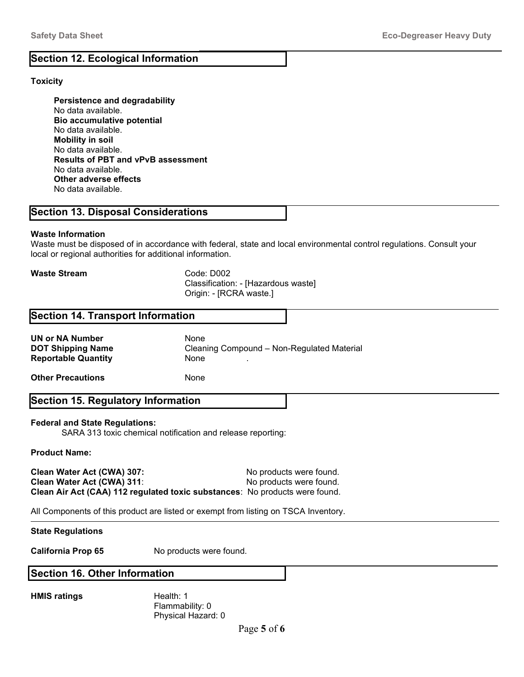# Section 12. Ecological Information

# **Toxicity**

 Persistence and degradability No data available. Bio accumulative potential No data available. Mobility in soil No data available. Results of PBT and vPvB assessment No data available. Other adverse effects No data available.

# Section 13. Disposal Considerations

# Waste Information

Waste must be disposed of in accordance with federal, state and local environmental control regulations. Consult your local or regional authorities for additional information.

Waste Stream Code: D002

 Classification: - [Hazardous waste] Origin: - [RCRA waste.]

# Section 14. Transport Information

UN or NA Number None Reportable Quantity **None** ...

DOT Shipping Name Cleaning Compound – Non-Regulated Material

**Other Precautions** None

# Section 15. Regulatory Information

# Federal and State Regulations:

SARA 313 toxic chemical notification and release reporting:

# Product Name:

Clean Water Act (CWA) 307: No products were found. Clean Water Act (CWA) 311: No products were found. Clean Air Act (CAA) 112 regulated toxic substances: No products were found.

All Components of this product are listed or exempt from listing on TSCA Inventory.

# State Regulations

California Prop 65 No products were found.

# Section 16. Other Information

HMIS ratings Health: 1

 Flammability: 0 Physical Hazard: 0